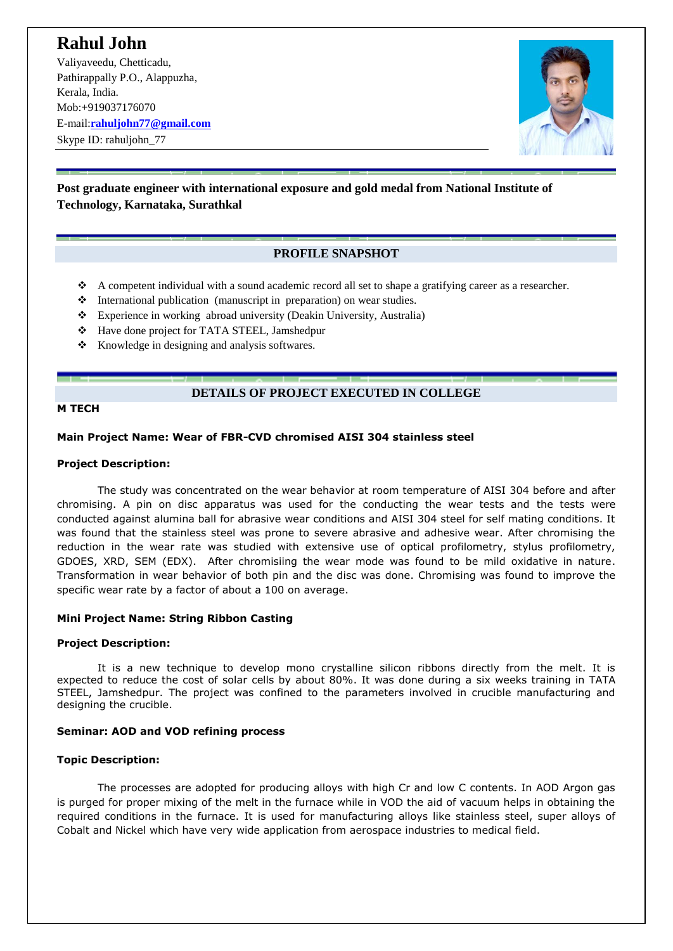# **Rahul John**

Valiyaveedu, Chetticadu, Pathirappally P.O., Alappuzha, Kerala, India. Mob:+919037176070 E-mail:**[rahuljohn77@gmail.com](mailto:rahuljohn77@gmail.com)** Skype ID: rahuliohn 77



# **Post graduate engineer with international exposure and gold medal from National Institute of Technology, Karnataka, Surathkal**

# **PROFILE SNAPSHOT**

- A competent individual with a sound academic record all set to shape a gratifying career as a researcher.
- International publication (manuscript in preparation) on wear studies.
- Experience in working abroad university (Deakin University, Australia)
- Have done project for TATA STEEL, Jamshedpur
- $\triangle$  Knowledge in designing and analysis softwares.

# **DETAILS OF PROJECT EXECUTED IN COLLEGE**

#### **M TECH**

### **Main Project Name: Wear of FBR-CVD chromised AISI 304 stainless steel**

#### **Project Description:**

The study was concentrated on the wear behavior at room temperature of AISI 304 before and after chromising. A pin on disc apparatus was used for the conducting the wear tests and the tests were conducted against alumina ball for abrasive wear conditions and AISI 304 steel for self mating conditions. It was found that the stainless steel was prone to severe abrasive and adhesive wear. After chromising the reduction in the wear rate was studied with extensive use of optical profilometry, stylus profilometry, GDOES, XRD, SEM (EDX). After chromisiing the wear mode was found to be mild oxidative in nature. Transformation in wear behavior of both pin and the disc was done. Chromising was found to improve the specific wear rate by a factor of about a 100 on average.

#### **Mini Project Name: String Ribbon Casting**

#### **Project Description:**

It is a new technique to develop mono crystalline silicon ribbons directly from the melt. It is expected to reduce the cost of solar cells by about 80%. It was done during a six weeks training in TATA STEEL, Jamshedpur. The project was confined to the parameters involved in crucible manufacturing and designing the crucible.

# **Seminar: AOD and VOD refining process**

# **Topic Description:**

The processes are adopted for producing alloys with high Cr and low C contents. In AOD Argon gas is purged for proper mixing of the melt in the furnace while in VOD the aid of vacuum helps in obtaining the required conditions in the furnace. It is used for manufacturing alloys like stainless steel, super alloys of Cobalt and Nickel which have very wide application from aerospace industries to medical field.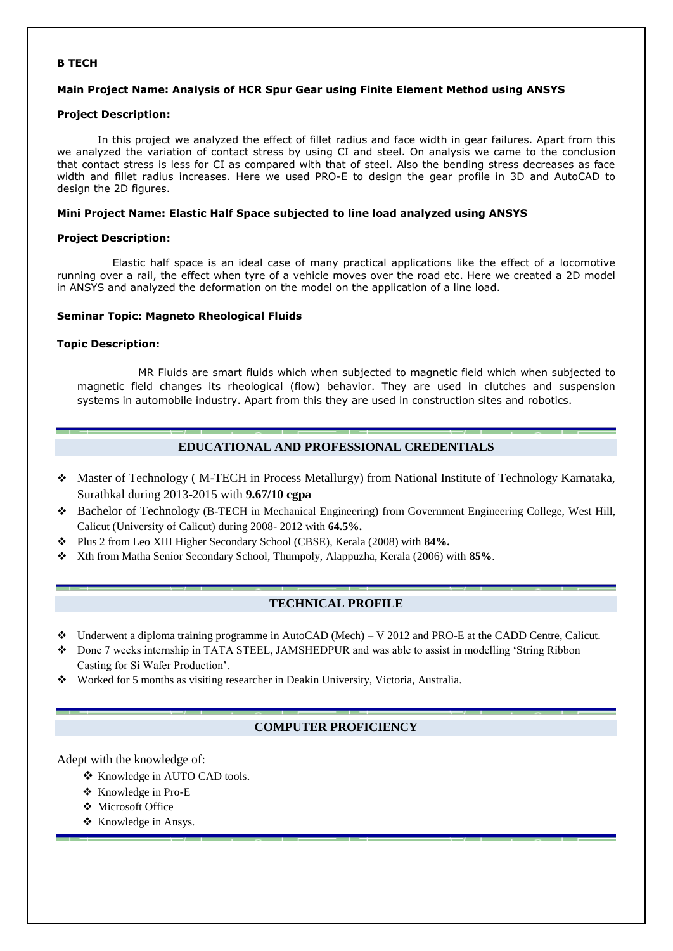#### **B TECH**

#### **Main Project Name: Analysis of HCR Spur Gear using Finite Element Method using ANSYS**

#### **Project Description:**

In this project we analyzed the effect of fillet radius and face width in gear failures. Apart from this we analyzed the variation of contact stress by using CI and steel. On analysis we came to the conclusion that contact stress is less for CI as compared with that of steel. Also the bending stress decreases as face width and fillet radius increases. Here we used PRO-E to design the gear profile in 3D and AutoCAD to design the 2D figures.

#### **Mini Project Name: Elastic Half Space subjected to line load analyzed using ANSYS**

#### **Project Description:**

 Elastic half space is an ideal case of many practical applications like the effect of a locomotive running over a rail, the effect when tyre of a vehicle moves over the road etc. Here we created a 2D model in ANSYS and analyzed the deformation on the model on the application of a line load.

#### **Seminar Topic: Magneto Rheological Fluids**

#### **Topic Description:**

MR Fluids are smart fluids which when subjected to magnetic field which when subjected to magnetic field changes its rheological (flow) behavior. They are used in clutches and suspension systems in automobile industry. Apart from this they are used in construction sites and robotics.

### **EDUCATIONAL AND PROFESSIONAL CREDENTIALS**

- Master of Technology ( M-TECH in Process Metallurgy) from National Institute of Technology Karnataka, Surathkal during 2013-2015 with **9.67/10 cgpa**
- Bachelor of Technology (B-TECH in Mechanical Engineering) from Government Engineering College, West Hill, Calicut (University of Calicut) during 2008- 2012 with **64.5%.**
- Plus 2 from Leo XIII Higher Secondary School (CBSE), Kerala (2008) with **84%.**
- Xth from Matha Senior Secondary School, Thumpoly, Alappuzha, Kerala (2006) with **85%**.

# **TECHNICAL PROFILE**

- $\bullet$  Underwent a diploma training programme in AutoCAD (Mech) V 2012 and PRO-E at the CADD Centre, Calicut.
- Done 7 weeks internship in TATA STEEL, JAMSHEDPUR and was able to assist in modelling 'String Ribbon Casting for Si Wafer Production'.
- Worked for 5 months as visiting researcher in Deakin University, Victoria, Australia.

# **COMPUTER PROFICIENCY**

Adept with the knowledge of:

- ❖ Knowledge in AUTO CAD tools.
- ❖ Knowledge in Pro-E
- Microsoft Office
- \* Knowledge in Ansys.